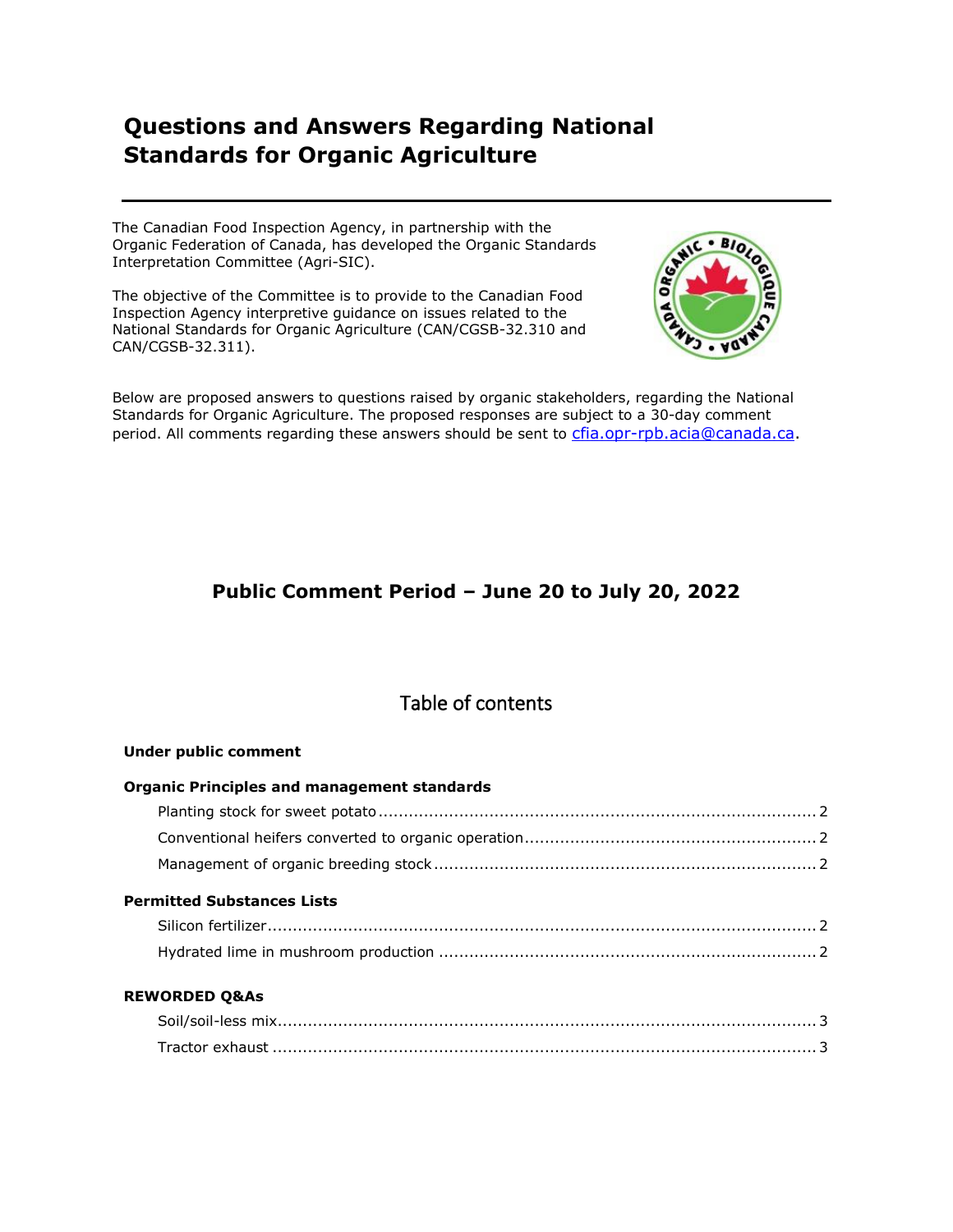# **Questions and Answers Regarding National Standards for Organic Agriculture**

The Canadian Food Inspection Agency, in partnership with the Organic Federation of Canada, has developed the Organic Standards Interpretation Committee (Agri-SIC).

The objective of the Committee is to provide to the Canadian Food Inspection Agency interpretive guidance on issues related to the National Standards for Organic Agriculture (CAN/CGSB-32.310 and CAN/CGSB-32.311).



Below are proposed answers to questions raised by organic stakeholders, regarding the National Standards for Organic Agriculture. The proposed responses are subject to a 30-day comment period. All comments regarding these answers should be sent to cfia.opr-rpb.acia@canada.ca.

## **Public Comment Period – June 20 to July 20, 2022**

## Table of contents

| <b>Under public comment</b>                        |  |
|----------------------------------------------------|--|
| <b>Organic Principles and management standards</b> |  |
|                                                    |  |
|                                                    |  |
|                                                    |  |
| <b>Permitted Substances Lists</b>                  |  |
|                                                    |  |
|                                                    |  |
| <b>REWORDED Q&amp;As</b>                           |  |
|                                                    |  |
|                                                    |  |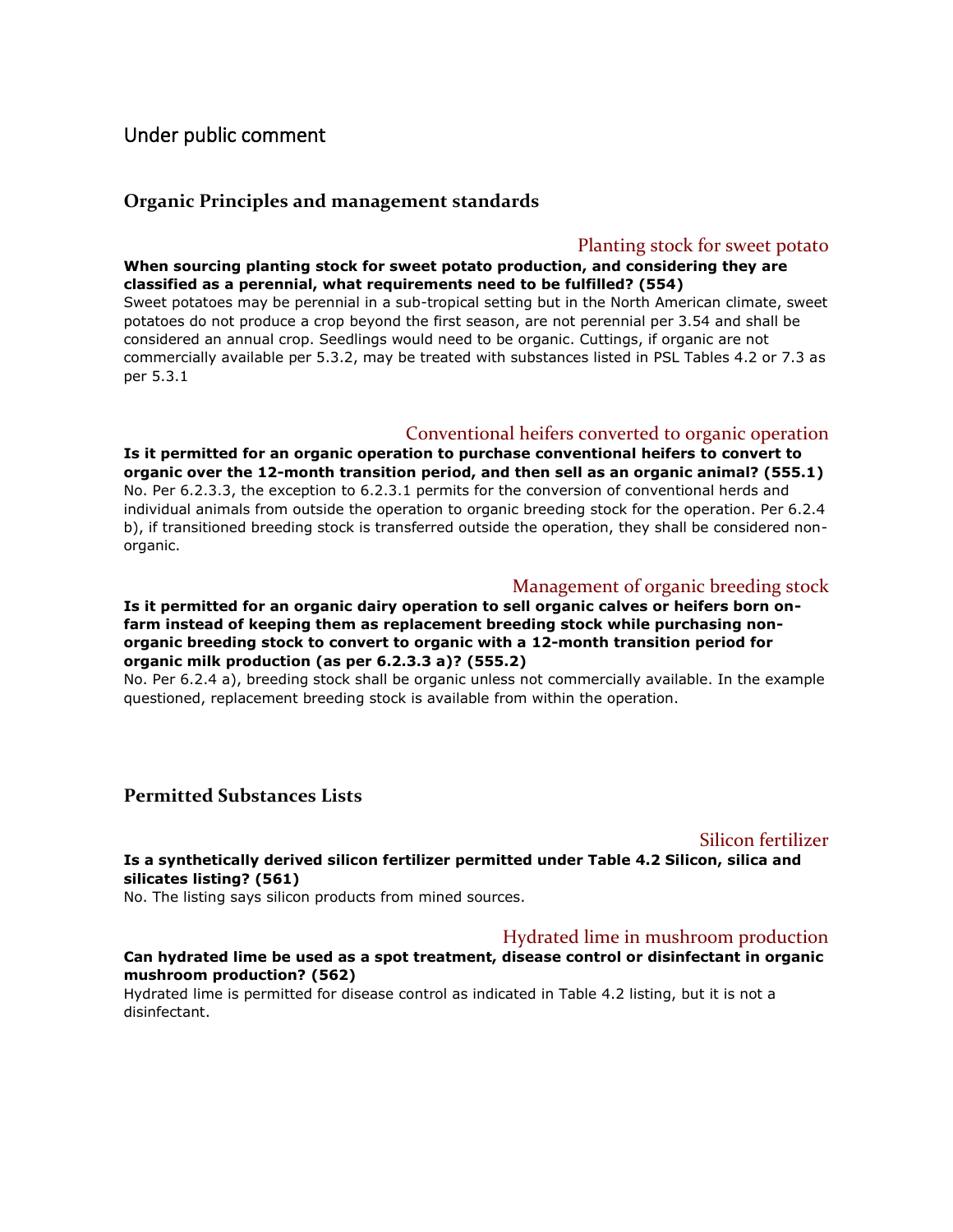## Under public comment

## **Organic Principles and management standards**

## Planting stock for sweet potato

### **When sourcing planting stock for sweet potato production, and considering they are classified as a perennial, what requirements need to be fulfilled? (554)**

Sweet potatoes may be perennial in a sub-tropical setting but in the North American climate, sweet potatoes do not produce a crop beyond the first season, are not perennial per 3.54 and shall be considered an annual crop. Seedlings would need to be organic. Cuttings, if organic are not commercially available per 5.3.2, may be treated with substances listed in PSL Tables 4.2 or 7.3 as per 5.3.1

## Conventional heifers converted to organic operation

**Is it permitted for an organic operation to purchase conventional heifers to convert to organic over the 12-month transition period, and then sell as an organic animal? (555.1)** No. Per 6.2.3.3, the exception to 6.2.3.1 permits for the conversion of conventional herds and individual animals from outside the operation to organic breeding stock for the operation. Per 6.2.4 b), if transitioned breeding stock is transferred outside the operation, they shall be considered nonorganic.

## Management of organic breeding stock

**Is it permitted for an organic dairy operation to sell organic calves or heifers born onfarm instead of keeping them as replacement breeding stock while purchasing nonorganic breeding stock to convert to organic with a 12-month transition period for organic milk production (as per 6.2.3.3 a)? (555.2)**

No. Per 6.2.4 a), breeding stock shall be organic unless not commercially available. In the example questioned, replacement breeding stock is available from within the operation.

## **Permitted Substances Lists**

### Silicon fertilizer

**Is a synthetically derived silicon fertilizer permitted under Table 4.2 Silicon, silica and silicates listing? (561)**

No. The listing says silicon products from mined sources.

## Hydrated lime in mushroom production

### **Can hydrated lime be used as a spot treatment, disease control or disinfectant in organic mushroom production? (562)**

Hydrated lime is permitted for disease control as indicated in Table 4.2 listing, but it is not a disinfectant.